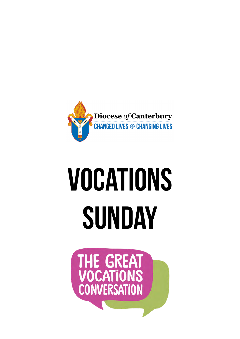

## **Vocations Sunday**

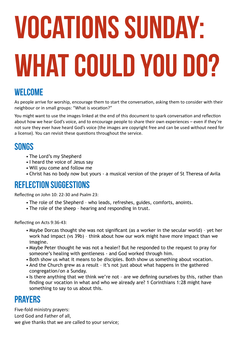# **Vocations Sunday: what could you do?**

#### **Welcome**

As people arrive for worship, encourage them to start the conversation, asking them to consider with their neighbour or in small groups: "What is vocation?"

You might want to use the images linked at the end of this document to spark conversation and reflection about how we hear God's voice, and to encourage people to share their own experiences – even if they're not sure they ever have heard God's voice (the images are copyright free and can be used without need for a license). You can revisit these questions throughout the service.

#### **Songs**

- The Lord's my Shepherd
- I heard the voice of Jesus say
- Will you come and follow me
- Christ has no body now but yours a musical version of the prayer of St Theresa of Avila

#### **Reflection suggestions**

Reflecting on John 10: 22-30 and Psalm 23:

- The role of the Shepherd who leads, refreshes, guides, comforts, anoints.
- The role of the sheep hearing and responding in trust.

Reflecting on Acts 9:36-43:

- Maybe Dorcas thought she was not significant (as a worker in the secular world) yet her work had impact (vs 39b) – think about how our work might have more impact than we imagine.
- Maybe Peter thought he was not a healer? But he responded to the request to pray for someone's healing with gentleness - and God worked through him.
- Both show us what it means to be disciples. Both show us something about vocation.
- And the Church grew as a result it's not just about what happens in the gathered congregation/on a Sunday.
- Is there anything that we think we're not are we defining ourselves by this, rather than finding our vocation in what and who we already are? 1 Corinthians 1:28 might have something to say to us about this.

#### **Prayers**

Five-fold ministry prayers: Lord God and Father of all, we give thanks that we are called to your service;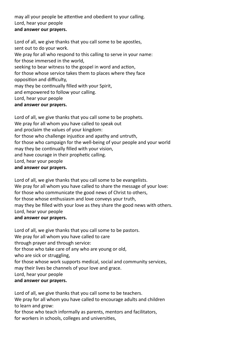may all your people be attentive and obedient to your calling. Lord, hear your people **and answer our prayers.**

Lord of all, we give thanks that you call some to be apostles, sent out to do your work. We pray for all who respond to this calling to serve in your name: for those immersed in the world, seeking to bear witness to the gospel in word and action, for those whose service takes them to places where they face opposition and difficulty, may they be continually filled with your Spirit, and empowered to follow your calling. Lord, hear your people **and answer our prayers.**

Lord of all, we give thanks that you call some to be prophets. We pray for all whom you have called to speak out and proclaim the values of your kingdom: for those who challenge injustice and apathy and untruth, for those who campaign for the well-being of your people and your world may they be continually filled with your vision, and have courage in their prophetic calling. Lord, hear your people **and answer our prayers.**

Lord of all, we give thanks that you call some to be evangelists. We pray for all whom you have called to share the message of your love: for those who communicate the good news of Christ to others, for those whose enthusiasm and love conveys your truth, may they be filled with your love as they share the good news with others. Lord, hear your people

#### **and answer our prayers.**

Lord of all, we give thanks that you call some to be pastors.

We pray for all whom you have called to care

through prayer and through service:

for those who take care of any who are young or old,

who are sick or struggling,

for those whose work supports medical, social and community services,

may their lives be channels of your love and grace.

Lord, hear your people

#### **and answer our prayers.**

Lord of all, we give thanks that you call some to be teachers. We pray for all whom you have called to encourage adults and children to learn and grow:

for those who teach informally as parents, mentors and facilitators, for workers in schools, colleges and universities,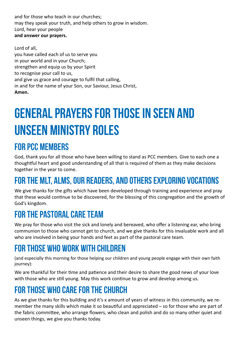and for those who teach in our churches; may they speak your truth, and help others to grow in wisdom. Lord, hear your people **and answer our prayers.**

Lord of all, you have called each of us to serve you in your world and in your Church; strengthen and equip us by your Spirit to recognise your call to us, and give us grace and courage to fulfil that calling, in and for the name of your Son, our Saviour, Jesus Christ, **Amen.**

## **General prayers for those in seen and unseen ministry roles**

#### **For PCC members**

God, thank you for all those who have been willing to stand as PCC members. Give to each one a thoughtful heart and good understanding of all that is required of them as they make decisions together in the year to come.

### **For the MLT, ALMs, our readers, and others exploring vocations**

We give thanks for the gifts which have been developed through training and experience and pray that these would continue to be discovered, for the blessing of this congregation and the growth of God's kingdom.

#### **For the pastoral care team**

We pray for those who visit the sick and lonely and bereaved, who offer a listening ear, who bring communion to those who cannot get to church, and we give thanks for this invaluable work and all who are involved in being your hands and feet as part of the pastoral care team.

#### **For those who work with children**

(and especially this morning for those helping our children and young people engage with their own faith journey):

We are thankful for their time and patience and their desire to share the good news of your love with those who are still young. May this work continue to grow and develop among us.

#### **For those who care for the church**

As we give thanks for this building and it's x amount of years of witness in this community, we remember the many skills which make it so beautiful and appreciated – so for those who are part of the fabric committee, who arrange flowers, who clean and polish and do so many other quiet and unseen things, we give you thanks today.